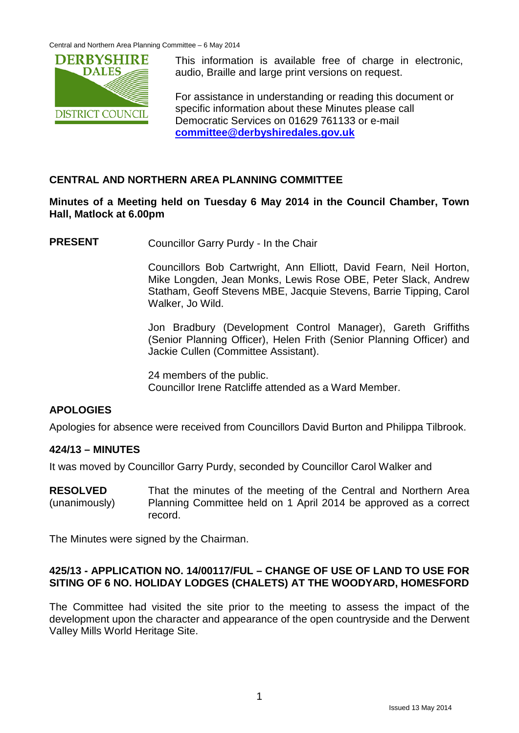

This information is available free of charge in electronic, audio, Braille and large print versions on request.

For assistance in understanding or reading this document or specific information about these Minutes please call Democratic Services on 01629 761133 or e-mail **[committee@derbyshiredales.gov.uk](mailto:committee@derbyshiredales.gov.uk)**

# **CENTRAL AND NORTHERN AREA PLANNING COMMITTEE**

# **Minutes of a Meeting held on Tuesday 6 May 2014 in the Council Chamber, Town Hall, Matlock at 6.00pm**

**PRESENT** Councillor Garry Purdy - In the Chair

Councillors Bob Cartwright, Ann Elliott, David Fearn, Neil Horton, Mike Longden, Jean Monks, Lewis Rose OBE, Peter Slack, Andrew Statham, Geoff Stevens MBE, Jacquie Stevens, Barrie Tipping, Carol Walker, Jo Wild.

Jon Bradbury (Development Control Manager), Gareth Griffiths (Senior Planning Officer), Helen Frith (Senior Planning Officer) and Jackie Cullen (Committee Assistant).

24 members of the public. Councillor Irene Ratcliffe attended as a Ward Member.

# **APOLOGIES**

Apologies for absence were received from Councillors David Burton and Philippa Tilbrook.

## **424/13 – MINUTES**

It was moved by Councillor Garry Purdy, seconded by Councillor Carol Walker and

**RESOLVED** (unanimously) That the minutes of the meeting of the Central and Northern Area Planning Committee held on 1 April 2014 be approved as a correct record.

The Minutes were signed by the Chairman.

## **425/13 - APPLICATION NO. 14/00117/FUL – CHANGE OF USE OF LAND TO USE FOR SITING OF 6 NO. HOLIDAY LODGES (CHALETS) AT THE WOODYARD, HOMESFORD**

The Committee had visited the site prior to the meeting to assess the impact of the development upon the character and appearance of the open countryside and the Derwent Valley Mills World Heritage Site.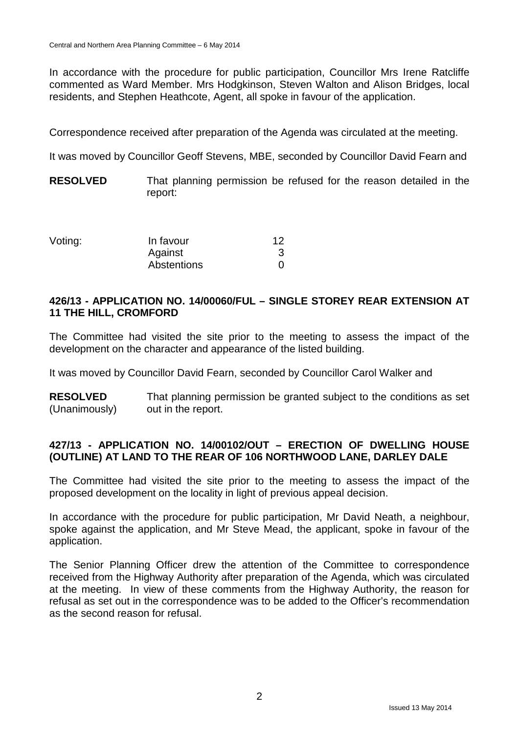In accordance with the procedure for public participation, Councillor Mrs Irene Ratcliffe commented as Ward Member. Mrs Hodgkinson, Steven Walton and Alison Bridges, local residents, and Stephen Heathcote, Agent, all spoke in favour of the application.

Correspondence received after preparation of the Agenda was circulated at the meeting.

It was moved by Councillor Geoff Stevens, MBE, seconded by Councillor David Fearn and

**RESOLVED** That planning permission be refused for the reason detailed in the report:

| Voting: | In favour   | 12 |  |  |  |
|---------|-------------|----|--|--|--|
|         | Against     |    |  |  |  |
|         | Abstentions |    |  |  |  |

# **426/13 - APPLICATION NO. 14/00060/FUL – SINGLE STOREY REAR EXTENSION AT 11 THE HILL, CROMFORD**

The Committee had visited the site prior to the meeting to assess the impact of the development on the character and appearance of the listed building.

It was moved by Councillor David Fearn, seconded by Councillor Carol Walker and

**RESOLVED** (Unanimously) That planning permission be granted subject to the conditions as set out in the report.

## **427/13 - APPLICATION NO. 14/00102/OUT – ERECTION OF DWELLING HOUSE (OUTLINE) AT LAND TO THE REAR OF 106 NORTHWOOD LANE, DARLEY DALE**

The Committee had visited the site prior to the meeting to assess the impact of the proposed development on the locality in light of previous appeal decision.

In accordance with the procedure for public participation, Mr David Neath, a neighbour, spoke against the application, and Mr Steve Mead, the applicant, spoke in favour of the application.

The Senior Planning Officer drew the attention of the Committee to correspondence received from the Highway Authority after preparation of the Agenda, which was circulated at the meeting. In view of these comments from the Highway Authority, the reason for refusal as set out in the correspondence was to be added to the Officer's recommendation as the second reason for refusal.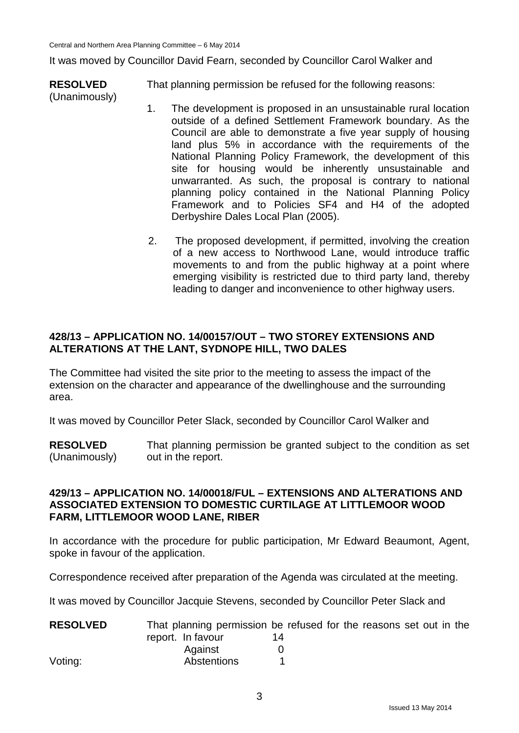It was moved by Councillor David Fearn, seconded by Councillor Carol Walker and

**RESOLVED** (Unanimously) That planning permission be refused for the following reasons:

- 1. The development is proposed in an unsustainable rural location outside of a defined Settlement Framework boundary. As the Council are able to demonstrate a five year supply of housing land plus 5% in accordance with the requirements of the National Planning Policy Framework, the development of this site for housing would be inherently unsustainable and unwarranted. As such, the proposal is contrary to national planning policy contained in the National Planning Policy Framework and to Policies SF4 and H4 of the adopted Derbyshire Dales Local Plan (2005).
- 2. The proposed development, if permitted, involving the creation of a new access to Northwood Lane, would introduce traffic movements to and from the public highway at a point where emerging visibility is restricted due to third party land, thereby leading to danger and inconvenience to other highway users.

# **428/13 – APPLICATION NO. 14/00157/OUT – TWO STOREY EXTENSIONS AND ALTERATIONS AT THE LANT, SYDNOPE HILL, TWO DALES**

The Committee had visited the site prior to the meeting to assess the impact of the extension on the character and appearance of the dwellinghouse and the surrounding area.

It was moved by Councillor Peter Slack, seconded by Councillor Carol Walker and

**RESOLVED** (Unanimously) That planning permission be granted subject to the condition as set out in the report.

### **429/13 – APPLICATION NO. 14/00018/FUL – EXTENSIONS AND ALTERATIONS AND ASSOCIATED EXTENSION TO DOMESTIC CURTILAGE AT LITTLEMOOR WOOD FARM, LITTLEMOOR WOOD LANE, RIBER**

In accordance with the procedure for public participation, Mr Edward Beaumont, Agent, spoke in favour of the application.

Correspondence received after preparation of the Agenda was circulated at the meeting.

It was moved by Councillor Jacquie Stevens, seconded by Councillor Peter Slack and

| <b>RESOLVED</b> | That planning permission be refused for the reasons set out in the |    |  |  |  |  |
|-----------------|--------------------------------------------------------------------|----|--|--|--|--|
|                 | report. In favour                                                  | 14 |  |  |  |  |
|                 | Against                                                            |    |  |  |  |  |
| Voting:         | Abstentions                                                        |    |  |  |  |  |